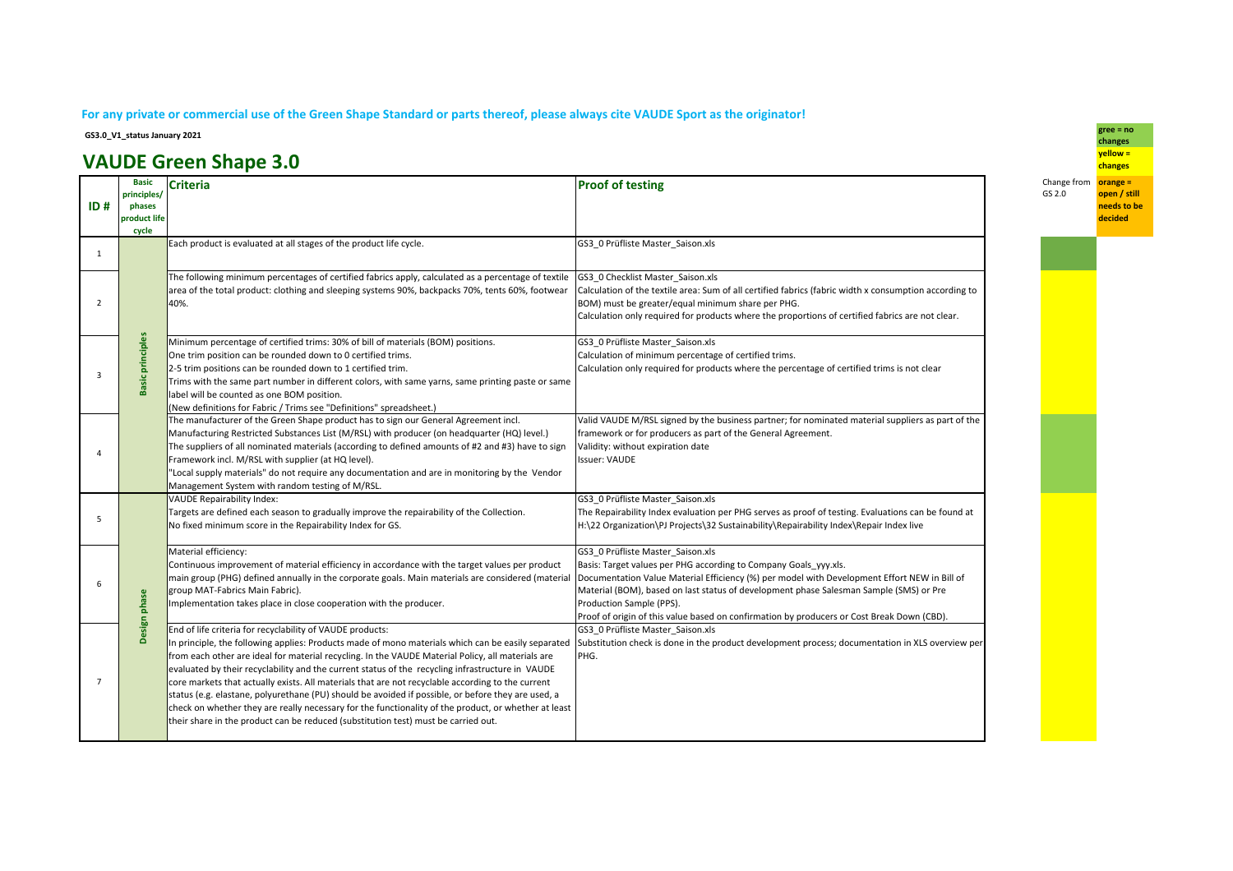## **For any private or commercial use of the Green Shape Standard or parts thereof, please always cite VAUDE Sport as the originator!**

**GS3.0\_V1\_status January 2021**

## **VAUDE Green Shape 3.0**

| ID#            | <b>Basic</b><br>principles/<br>phases<br>product life<br>cycle | <b>Criteria</b>                                                                                                                                                                                                                                                                                                                                                                                                                                                                                                                                                                                                                                                                                                                                                                   | <b>Proof of testing</b>                                                                                                                                                                                                                                                                                                                                                                                                   | Change from<br>GS 2.0 |
|----------------|----------------------------------------------------------------|-----------------------------------------------------------------------------------------------------------------------------------------------------------------------------------------------------------------------------------------------------------------------------------------------------------------------------------------------------------------------------------------------------------------------------------------------------------------------------------------------------------------------------------------------------------------------------------------------------------------------------------------------------------------------------------------------------------------------------------------------------------------------------------|---------------------------------------------------------------------------------------------------------------------------------------------------------------------------------------------------------------------------------------------------------------------------------------------------------------------------------------------------------------------------------------------------------------------------|-----------------------|
| 1              |                                                                | Each product is evaluated at all stages of the product life cycle.                                                                                                                                                                                                                                                                                                                                                                                                                                                                                                                                                                                                                                                                                                                | GS3 0 Prüfliste Master Saison.xls                                                                                                                                                                                                                                                                                                                                                                                         |                       |
| $\overline{2}$ |                                                                | The following minimum percentages of certified fabrics apply, calculated as a percentage of textile<br>area of the total product: clothing and sleeping systems 90%, backpacks 70%, tents 60%, footwear<br>40%.                                                                                                                                                                                                                                                                                                                                                                                                                                                                                                                                                                   | GS3_0 Checklist Master_Saison.xls<br>Calculation of the textile area: Sum of all certified fabrics (fabric width x consumption according to<br>BOM) must be greater/equal minimum share per PHG.<br>Calculation only required for products where the proportions of certified fabrics are not clear.                                                                                                                      |                       |
| 3              | principles<br><b>Basic</b>                                     | Minimum percentage of certified trims: 30% of bill of materials (BOM) positions.<br>One trim position can be rounded down to 0 certified trims.<br>2-5 trim positions can be rounded down to 1 certified trim.<br>Trims with the same part number in different colors, with same yarns, same printing paste or same<br>label will be counted as one BOM position.<br>(New definitions for Fabric / Trims see "Definitions" spreadsheet.)                                                                                                                                                                                                                                                                                                                                          | GS3 0 Prüfliste Master Saison.xls<br>Calculation of minimum percentage of certified trims.<br>Calculation only required for products where the percentage of certified trims is not clear                                                                                                                                                                                                                                 |                       |
|                |                                                                | The manufacturer of the Green Shape product has to sign our General Agreement incl.<br>Manufacturing Restricted Substances List (M/RSL) with producer (on headquarter (HQ) level.)<br>The suppliers of all nominated materials (according to defined amounts of #2 and #3) have to sign<br>Framework incl. M/RSL with supplier (at HQ level).<br>"Local supply materials" do not require any documentation and are in monitoring by the Vendor<br>Management System with random testing of M/RSL.                                                                                                                                                                                                                                                                                 | Valid VAUDE M/RSL signed by the business partner; for nominated material suppliers as part of the<br>framework or for producers as part of the General Agreement.<br>Validity: without expiration date<br><b>Issuer: VAUDE</b>                                                                                                                                                                                            |                       |
| 5              |                                                                | <b>VAUDE Repairability Index:</b><br>Targets are defined each season to gradually improve the repairability of the Collection.<br>No fixed minimum score in the Repairability Index for GS.                                                                                                                                                                                                                                                                                                                                                                                                                                                                                                                                                                                       | GS3 0 Prüfliste Master Saison.xls<br>The Repairability Index evaluation per PHG serves as proof of testing. Evaluations can be found at<br>H:\22 Organization\PJ Projects\32 Sustainability\Repairability Index\Repair Index live                                                                                                                                                                                         |                       |
| 6              | Design phase                                                   | Material efficiency:<br>Continuous improvement of material efficiency in accordance with the target values per product<br>main group (PHG) defined annually in the corporate goals. Main materials are considered (material<br>group MAT-Fabrics Main Fabric).<br>Implementation takes place in close cooperation with the producer.                                                                                                                                                                                                                                                                                                                                                                                                                                              | GS3 0 Prüfliste Master Saison.xls<br>Basis: Target values per PHG according to Company Goals yyy.xls.<br>Documentation Value Material Efficiency (%) per model with Development Effort NEW in Bill of<br>Material (BOM), based on last status of development phase Salesman Sample (SMS) or Pre<br>Production Sample (PPS).<br>Proof of origin of this value based on confirmation by producers or Cost Break Down (CBD). |                       |
| $\overline{7}$ |                                                                | End of life criteria for recyclability of VAUDE products:<br>In principle, the following applies: Products made of mono materials which can be easily separated<br>from each other are ideal for material recycling. In the VAUDE Material Policy, all materials are<br>evaluated by their recyclability and the current status of the recycling infrastructure in VAUDE<br>core markets that actually exists. All materials that are not recyclable according to the current<br>status (e.g. elastane, polyurethane (PU) should be avoided if possible, or before they are used, a<br>check on whether they are really necessary for the functionality of the product, or whether at least<br>their share in the product can be reduced (substitution test) must be carried out. | GS3 0 Prüfliste Master Saison.xls<br>Substitution check is done in the product development process; documentation in XLS overview per<br>PHG.                                                                                                                                                                                                                                                                             |                       |

 **gree = no changes yellow = changesChange from orange = open / still needs to be** 

**decided**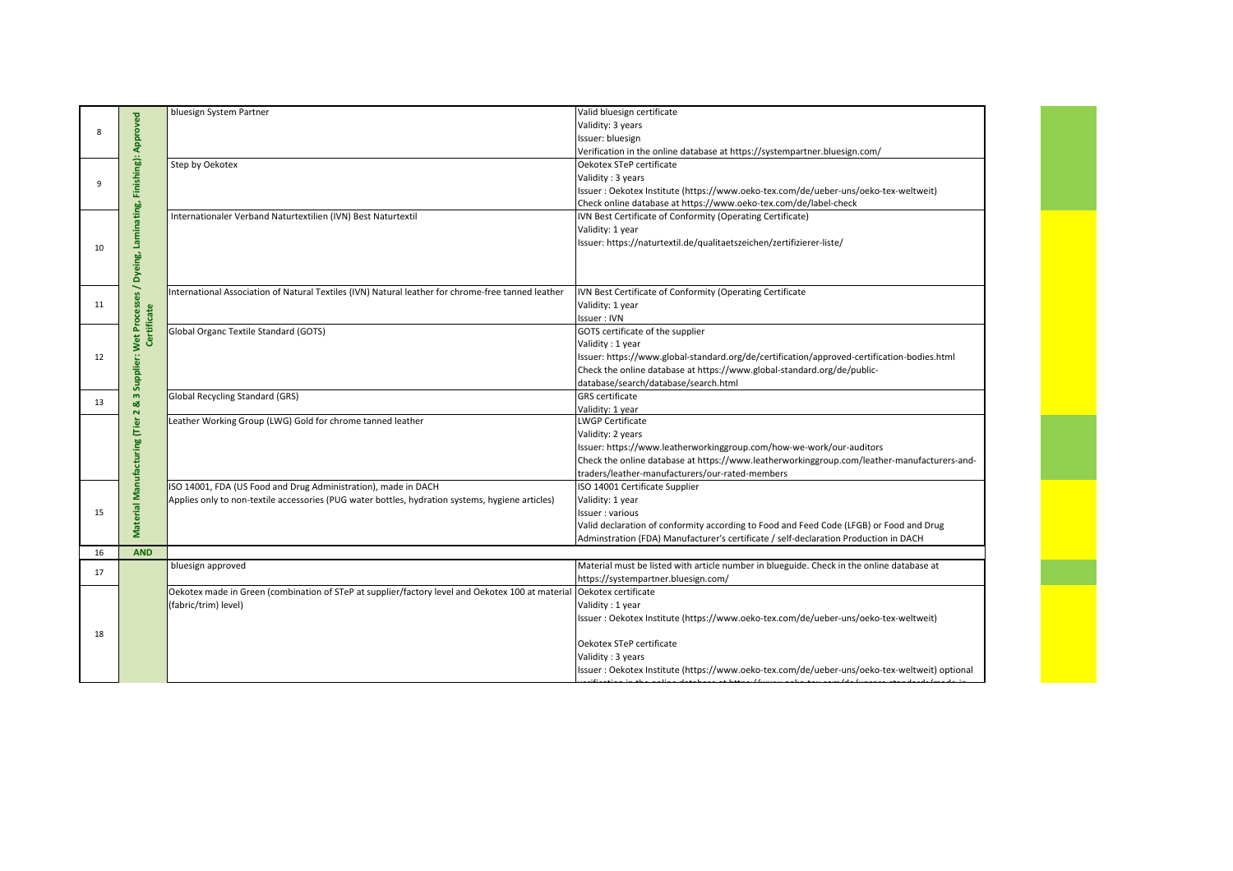|    |                                                                        | bluesign System Partner                                                                            | Valid bluesign certificate                                                                    |
|----|------------------------------------------------------------------------|----------------------------------------------------------------------------------------------------|-----------------------------------------------------------------------------------------------|
|    |                                                                        |                                                                                                    | Validity: 3 years                                                                             |
| 8  |                                                                        |                                                                                                    | Issuer: bluesign                                                                              |
|    |                                                                        |                                                                                                    | Verification in the online database at https://systempartner.bluesign.com/                    |
|    |                                                                        | Step by Oekotex                                                                                    | Oekotex STeP certificate                                                                      |
|    |                                                                        |                                                                                                    | Validity: 3 years                                                                             |
| 9  |                                                                        |                                                                                                    | Issuer : Oekotex Institute (https://www.oeko-tex.com/de/ueber-uns/oeko-tex-weltweit)          |
|    |                                                                        |                                                                                                    | Check online database at https://www.oeko-tex.com/de/label-check                              |
|    |                                                                        | Internationaler Verband Naturtextilien (IVN) Best Naturtextil                                      | IVN Best Certificate of Conformity (Operating Certificate)                                    |
|    |                                                                        |                                                                                                    | Validity: 1 year                                                                              |
|    |                                                                        |                                                                                                    | Issuer: https://naturtextil.de/qualitaetszeichen/zertifizierer-liste/                         |
| 10 |                                                                        |                                                                                                    |                                                                                               |
|    |                                                                        |                                                                                                    |                                                                                               |
|    |                                                                        |                                                                                                    |                                                                                               |
|    | & 3 Supplier: Wet Processes / Dyeing, Laminating, Finishing): Approved | International Association of Natural Textiles (IVN) Natural leather for chrome-free tanned leather | IVN Best Certificate of Conformity (Operating Certificate                                     |
| 11 |                                                                        |                                                                                                    | Validity: 1 year                                                                              |
|    |                                                                        |                                                                                                    | Issuer: IVN                                                                                   |
|    | Certificate                                                            | Global Organc Textile Standard (GOTS)                                                              | GOTS certificate of the supplier                                                              |
|    |                                                                        |                                                                                                    | Validity: 1 year                                                                              |
| 12 |                                                                        |                                                                                                    | Issuer: https://www.global-standard.org/de/certification/approved-certification-bodies.html   |
|    |                                                                        |                                                                                                    | Check the online database at https://www.global-standard.org/de/public-                       |
|    |                                                                        |                                                                                                    | database/search/database/search.html                                                          |
| 13 |                                                                        | Global Recycling Standard (GRS)                                                                    | <b>GRS</b> certificate                                                                        |
|    |                                                                        |                                                                                                    | Validity: 1 year                                                                              |
|    |                                                                        | Leather Working Group (LWG) Gold for chrome tanned leather                                         | LWGP Certificate                                                                              |
|    |                                                                        |                                                                                                    | Validity: 2 years                                                                             |
|    |                                                                        |                                                                                                    | Issuer: https://www.leatherworkinggroup.com/how-we-work/our-auditors                          |
|    |                                                                        |                                                                                                    | Check the online database at https://www.leatherworkinggroup.com/leather-manufacturers-and-   |
|    |                                                                        |                                                                                                    | traders/leather-manufacturers/our-rated-members                                               |
|    | Material Manufacturing (Tier 2                                         | ISO 14001, FDA (US Food and Drug Administration), made in DACH                                     | ISO 14001 Certificate Supplier                                                                |
|    |                                                                        | Applies only to non-textile accessories (PUG water bottles, hydration systems, hygiene articles)   | Validity: 1 year                                                                              |
| 15 |                                                                        |                                                                                                    | Issuer : various                                                                              |
|    |                                                                        |                                                                                                    | Valid declaration of conformity according to Food and Feed Code (LFGB) or Food and Drug       |
|    |                                                                        |                                                                                                    | Adminstration (FDA) Manufacturer's certificate / self-declaration Production in DACH          |
| 16 | <b>AND</b>                                                             |                                                                                                    |                                                                                               |
| 17 |                                                                        | bluesign approved                                                                                  | Material must be listed with article number in blueguide. Check in the online database at     |
|    |                                                                        |                                                                                                    | https://systempartner.bluesign.com/                                                           |
|    |                                                                        | Oekotex made in Green (combination of STeP at supplier/factory level and Oekotex 100 at material   | Oekotex certificate                                                                           |
|    |                                                                        | (fabric/trim) level)                                                                               | Validity: 1 year                                                                              |
|    |                                                                        |                                                                                                    | Issuer : Oekotex Institute (https://www.oeko-tex.com/de/ueber-uns/oeko-tex-weltweit)          |
| 18 |                                                                        |                                                                                                    |                                                                                               |
|    |                                                                        |                                                                                                    | Oekotex STeP certificate                                                                      |
|    |                                                                        |                                                                                                    | Validity: 3 years                                                                             |
|    |                                                                        |                                                                                                    | Issuer : Oekotex Institute (https://www.oeko-tex.com/de/ueber-uns/oeko-tex-weltweit) optional |
|    |                                                                        |                                                                                                    |                                                                                               |

T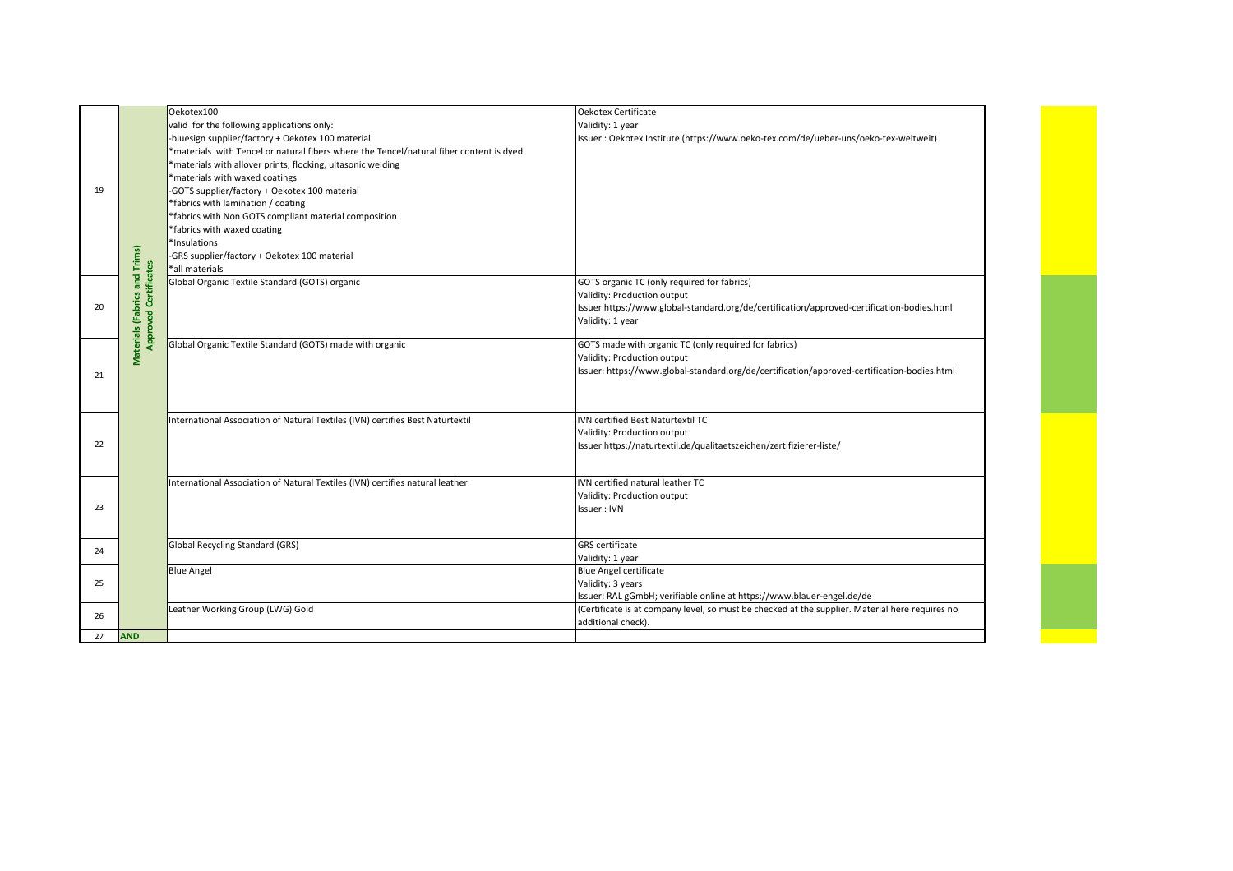|    |                                                               | Oekotex100                                                                              | Oekotex Certificate                                                                             |
|----|---------------------------------------------------------------|-----------------------------------------------------------------------------------------|-------------------------------------------------------------------------------------------------|
|    |                                                               | valid for the following applications only:                                              | Validity: 1 year                                                                                |
|    |                                                               | -bluesign supplier/factory + Oekotex 100 material                                       | Issuer : Oekotex Institute (https://www.oeko-tex.com/de/ueber-uns/oeko-tex-weltweit)            |
|    |                                                               | *materials with Tencel or natural fibers where the Tencel/natural fiber content is dyed |                                                                                                 |
|    |                                                               | *materials with allover prints, flocking, ultasonic welding                             |                                                                                                 |
|    |                                                               | *materials with waxed coatings                                                          |                                                                                                 |
| 19 |                                                               | -GOTS supplier/factory + Oekotex 100 material                                           |                                                                                                 |
|    |                                                               | *fabrics with lamination / coating                                                      |                                                                                                 |
|    |                                                               | *fabrics with Non GOTS compliant material composition                                   |                                                                                                 |
|    |                                                               | *fabrics with waxed coating                                                             |                                                                                                 |
|    |                                                               | *Insulations                                                                            |                                                                                                 |
|    |                                                               | -GRS supplier/factory + Oekotex 100 material                                            |                                                                                                 |
|    |                                                               | *all materials                                                                          |                                                                                                 |
|    | Materials (Fabrics and Trims)<br><b>Approved Certificates</b> | Global Organic Textile Standard (GOTS) organic                                          | GOTS organic TC (only required for fabrics)                                                     |
|    |                                                               |                                                                                         | Validity: Production output                                                                     |
| 20 |                                                               |                                                                                         | Issuer https://www.global-standard.org/de/certification/approved-certification-bodies.html      |
|    |                                                               |                                                                                         | Validity: 1 year                                                                                |
|    |                                                               |                                                                                         |                                                                                                 |
|    |                                                               | Global Organic Textile Standard (GOTS) made with organic                                | GOTS made with organic TC (only required for fabrics)                                           |
|    |                                                               |                                                                                         | Validity: Production output                                                                     |
|    |                                                               |                                                                                         | Issuer: https://www.global-standard.org/de/certification/approved-certification-bodies.html     |
| 21 |                                                               |                                                                                         |                                                                                                 |
|    |                                                               |                                                                                         |                                                                                                 |
|    |                                                               |                                                                                         |                                                                                                 |
|    |                                                               | International Association of Natural Textiles (IVN) certifies Best Naturtextil          | IVN certified Best Naturtextil TC                                                               |
|    |                                                               |                                                                                         | Validity: Production output                                                                     |
| 22 |                                                               |                                                                                         | Issuer https://naturtextil.de/qualitaetszeichen/zertifizierer-liste/                            |
|    |                                                               |                                                                                         |                                                                                                 |
|    |                                                               | International Association of Natural Textiles (IVN) certifies natural leather           | IVN certified natural leather TC                                                                |
|    |                                                               |                                                                                         | Validity: Production output                                                                     |
| 23 |                                                               |                                                                                         | Issuer: IVN                                                                                     |
|    |                                                               |                                                                                         |                                                                                                 |
|    |                                                               |                                                                                         |                                                                                                 |
| 24 |                                                               | Global Recycling Standard (GRS)                                                         | <b>GRS</b> certificate                                                                          |
|    |                                                               |                                                                                         | Validity: 1 year<br><b>Blue Angel certificate</b>                                               |
|    |                                                               | <b>Blue Angel</b>                                                                       |                                                                                                 |
| 25 |                                                               |                                                                                         | Validity: 3 years                                                                               |
|    |                                                               |                                                                                         | Issuer: RAL gGmbH; verifiable online at https://www.blauer-engel.de/de                          |
| 26 |                                                               | Leather Working Group (LWG) Gold                                                        | (Certificate is at company level, so must be checked at the supplier. Material here requires no |
|    |                                                               |                                                                                         | additional check).                                                                              |
| 27 | <b>AND</b>                                                    |                                                                                         |                                                                                                 |

e e de la partir de la partir de la partir de la partir de la partir de la partir de la partir de la partir d<br>La partir de la partir de la partir de la partir de la partir de la partir de la partir de la partir de la par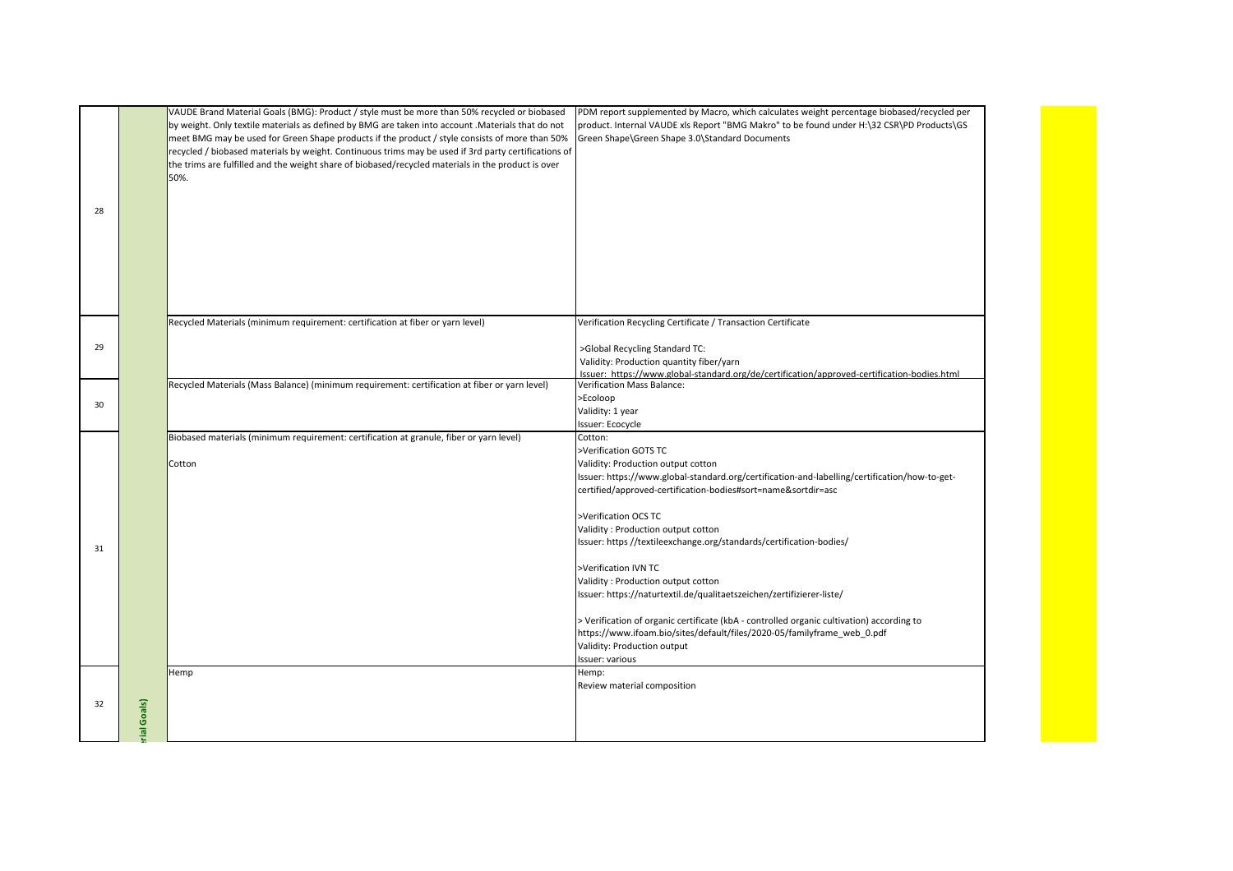|    |            | VAUDE Brand Material Goals (BMG): Product / style must be more than 50% recycled or biobased<br>by weight. Only textile materials as defined by BMG are taken into account . Materials that do not<br>meet BMG may be used for Green Shape products if the product / style consists of more than 50%<br>recycled / biobased materials by weight. Continuous trims may be used if 3rd party certifications of<br>the trims are fulfilled and the weight share of biobased/recycled materials in the product is over<br>50%. | PDM report supplemented by Macro, which calculates weight percentage biobased/recycled per<br>product. Internal VAUDE xls Report "BMG Makro" to be found under H:\32 CSR\PD Products\GS<br>Green Shape\Green Shape 3.0\Standard Documents                                                                                                                                                                                                                                                                                                                                                                         |
|----|------------|----------------------------------------------------------------------------------------------------------------------------------------------------------------------------------------------------------------------------------------------------------------------------------------------------------------------------------------------------------------------------------------------------------------------------------------------------------------------------------------------------------------------------|-------------------------------------------------------------------------------------------------------------------------------------------------------------------------------------------------------------------------------------------------------------------------------------------------------------------------------------------------------------------------------------------------------------------------------------------------------------------------------------------------------------------------------------------------------------------------------------------------------------------|
| 28 |            |                                                                                                                                                                                                                                                                                                                                                                                                                                                                                                                            |                                                                                                                                                                                                                                                                                                                                                                                                                                                                                                                                                                                                                   |
|    |            | Recycled Materials (minimum requirement: certification at fiber or yarn level)                                                                                                                                                                                                                                                                                                                                                                                                                                             | Verification Recycling Certificate / Transaction Certificate                                                                                                                                                                                                                                                                                                                                                                                                                                                                                                                                                      |
| 29 |            |                                                                                                                                                                                                                                                                                                                                                                                                                                                                                                                            | >Global Recycling Standard TC:<br>Validity: Production quantity fiber/yarn<br>Issuer: https://www.global-standard.org/de/certification/approved-certification-bodies.html                                                                                                                                                                                                                                                                                                                                                                                                                                         |
| 30 |            | Recycled Materials (Mass Balance) (minimum requirement: certification at fiber or yarn level)                                                                                                                                                                                                                                                                                                                                                                                                                              | Verification Mass Balance:<br>>Ecoloop<br>Validity: 1 year<br>Issuer: Ecocycle                                                                                                                                                                                                                                                                                                                                                                                                                                                                                                                                    |
| 31 |            | Biobased materials (minimum requirement: certification at granule, fiber or yarn level)<br>Cotton                                                                                                                                                                                                                                                                                                                                                                                                                          | Cotton:<br>>Verification GOTS TC<br>Validity: Production output cotton<br>Issuer: https://www.global-standard.org/certification-and-labelling/certification/how-to-get-<br>certified/approved-certification-bodies#sort=name&sortdir=asc<br>>Verification OCS TC<br>Validity: Production output cotton<br>Issuer: https //textileexchange.org/standards/certification-bodies/<br>>Verification IVN TC<br>Validity: Production output cotton<br>Issuer: https://naturtextil.de/qualitaetszeichen/zertifizierer-liste/<br>> Verification of organic certificate (kbA - controlled organic cultivation) according to |
|    |            |                                                                                                                                                                                                                                                                                                                                                                                                                                                                                                                            | https://www.ifoam.bio/sites/default/files/2020-05/familyframe_web_0.pdf<br>Validity: Production output<br>Issuer: various                                                                                                                                                                                                                                                                                                                                                                                                                                                                                         |
| 32 | ial Goals) | Hemp                                                                                                                                                                                                                                                                                                                                                                                                                                                                                                                       | Hemp:<br>Review material composition                                                                                                                                                                                                                                                                                                                                                                                                                                                                                                                                                                              |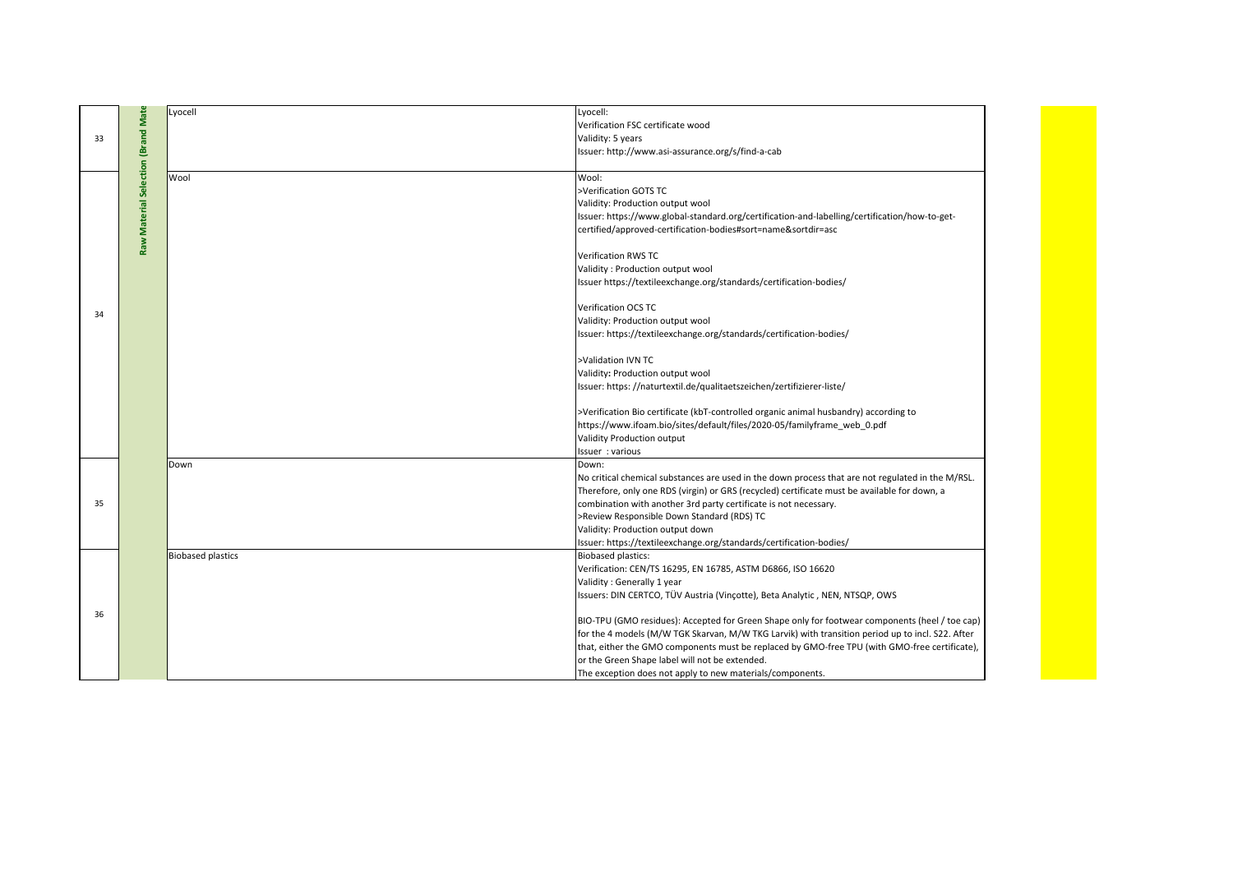|                                    | Lyocell                  | Lyocell:                                                                                          |
|------------------------------------|--------------------------|---------------------------------------------------------------------------------------------------|
|                                    |                          | Verification FSC certificate wood                                                                 |
|                                    |                          | Validity: 5 years                                                                                 |
|                                    |                          | Issuer: http://www.asi-assurance.org/s/find-a-cab                                                 |
|                                    |                          |                                                                                                   |
|                                    | Wool                     | Wool:                                                                                             |
|                                    |                          | >Verification GOTS TC                                                                             |
|                                    |                          | Validity: Production output wool                                                                  |
|                                    |                          | Issuer: https://www.global-standard.org/certification-and-labelling/certification/how-to-get-     |
| Raw Material Selection (Brand Mate |                          | certified/approved-certification-bodies#sort=name&sortdir=asc                                     |
|                                    |                          | Verification RWS TC                                                                               |
|                                    |                          | Validity : Production output wool                                                                 |
|                                    |                          | Issuer https://textileexchange.org/standards/certification-bodies/                                |
|                                    |                          |                                                                                                   |
|                                    |                          | Verification OCS TC                                                                               |
|                                    |                          | Validity: Production output wool                                                                  |
|                                    |                          | Issuer: https://textileexchange.org/standards/certification-bodies/                               |
|                                    |                          |                                                                                                   |
|                                    |                          | >Validation IVN TC                                                                                |
|                                    |                          | Validity: Production output wool                                                                  |
|                                    |                          | Issuer: https://naturtextil.de/qualitaetszeichen/zertifizierer-liste/                             |
|                                    |                          |                                                                                                   |
|                                    |                          | >Verification Bio certificate (kbT-controlled organic animal husbandry) according to              |
|                                    |                          | https://www.ifoam.bio/sites/default/files/2020-05/familyframe_web_0.pdf                           |
|                                    |                          | Validity Production output                                                                        |
|                                    |                          | Issuer : various                                                                                  |
|                                    | Down                     | Down:                                                                                             |
|                                    |                          | No critical chemical substances are used in the down process that are not regulated in the M/RSL. |
|                                    |                          | Therefore, only one RDS (virgin) or GRS (recycled) certificate must be available for down, a      |
|                                    |                          | combination with another 3rd party certificate is not necessary.                                  |
|                                    |                          | >Review Responsible Down Standard (RDS) TC                                                        |
|                                    |                          | Validity: Production output down                                                                  |
|                                    |                          | Issuer: https://textileexchange.org/standards/certification-bodies/                               |
|                                    | <b>Biobased plastics</b> | <b>Biobased plastics:</b>                                                                         |
|                                    |                          | Verification: CEN/TS 16295, EN 16785, ASTM D6866, ISO 16620                                       |
|                                    |                          | Validity: Generally 1 year                                                                        |
|                                    |                          | Issuers: DIN CERTCO, TÜV Austria (Vincotte), Beta Analytic, NEN, NTSQP, OWS                       |
|                                    |                          | BIO-TPU (GMO residues): Accepted for Green Shape only for footwear components (heel / toe cap)    |
|                                    |                          | for the 4 models (M/W TGK Skarvan, M/W TKG Larvik) with transition period up to incl. S22. After  |
|                                    |                          | that, either the GMO components must be replaced by GMO-free TPU (with GMO-free certificate),     |
|                                    |                          | or the Green Shape label will not be extended.                                                    |
|                                    |                          |                                                                                                   |